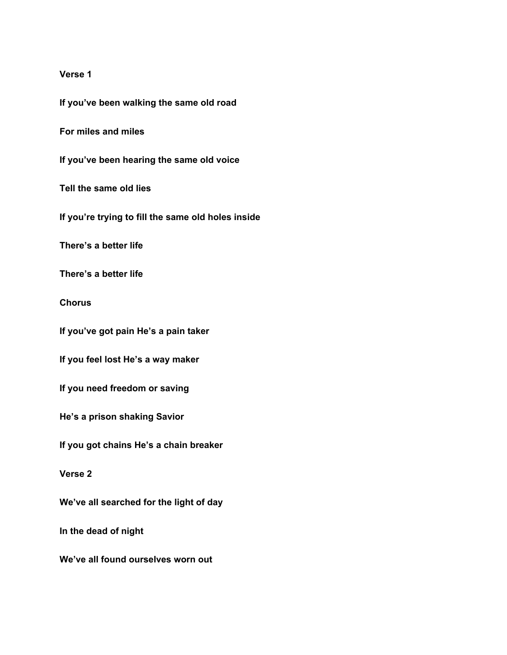## **Verse 1**

**If you've been walking the same old road**

**For miles and miles**

**If you've been hearing the same old voice**

**Tell the same old lies**

**If you're trying to fill the same old holes inside**

**There's a better life**

**There's a better life**

**Chorus**

**If you've got pain He's a pain taker**

**If you feel lost He's a way maker**

**If you need freedom or saving**

**He's a prison shaking Savior**

**If you got chains He's a chain breaker**

**Verse 2**

**We've all searched for the light of day**

**In the dead of night**

**We've all found ourselves worn out**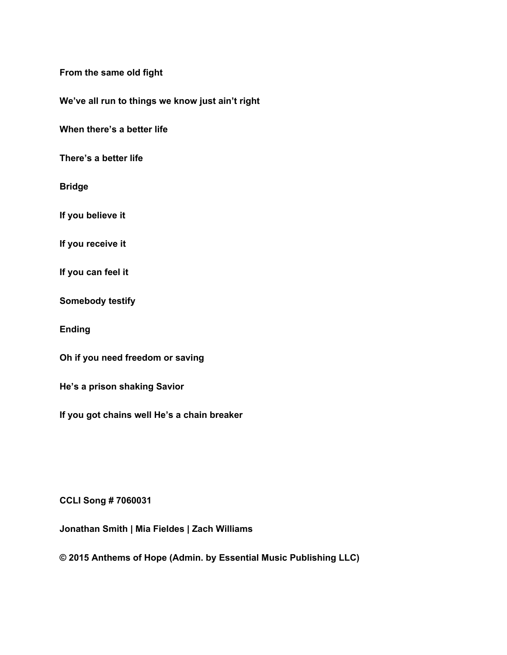**From the same old fight**

**We've all run to things we know just ain't right**

**When there's a better life**

**There's a better life**

**Bridge**

**If you believe it**

**If you receive it**

**If you can feel it**

**Somebody testify**

**Ending**

**Oh if you need freedom or saving**

**He's a prison shaking Savior**

**If you got chains well He's a chain breaker**

**CCLI Song # 7060031**

**Jonathan Smith | Mia Fieldes | Zach Williams**

**© 2015 Anthems of Hope (Admin. by Essential Music Publishing LLC)**